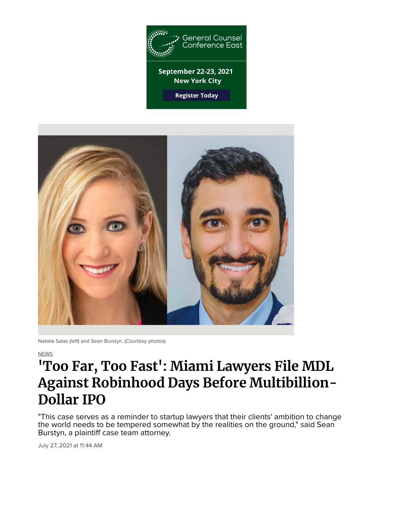

**Register Today** 



Natalia Salas (left) and Sean Burstyn. (Courtesy photos)

NEWS

# **'Too Far, Too Fast': Miami Lawyers File MDL Against Robinhood Days Before Multibillion-Dollar IPO**

"This case serves as a reminder to startup lawyers that their clients' ambition to change the world needs to be tempered somewhat by the realities on the ground," said Sean Burstyn, a plaintiff case team attorney.

July 27, 2021 at 11:44 AM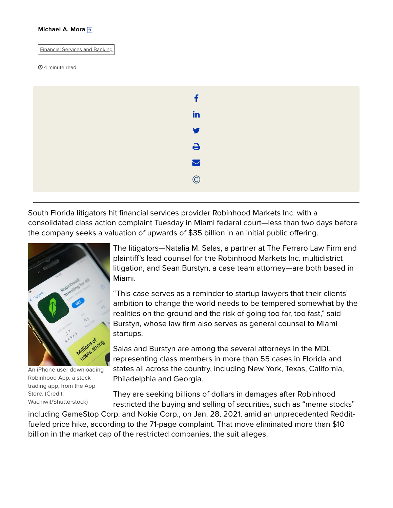#### Michael A. Mora  $\rightarrow$

Financial Services and Banking

#### **4 minute read**



South Florida litigators hit financial services provider Robinhood Markets Inc. with a consolidated class action complaint Tuesday in Miami federal court—less than two days before the company seeks a valuation of upwards of \$35 billion in an initial public offering.



An iPhone user downloading Robinhood App, a stock trading app, from the App Store. (Credit: Wachiwit/Shutterstock)

The litigators—Natalia M. Salas, a partner at The Ferraro Law Firm and plaintiff's lead counsel for the Robinhood Markets Inc. multidistrict litigation, and Sean Burstyn, a case team attorney—are both based in Miami.

"This case serves as a reminder to startup lawyers that their clients' ambition to change the world needs to be tempered somewhat by the realities on the ground and the risk of going too far, too fast," said Burstyn, whose law firm also serves as general counsel to Miami startups.

Salas and Burstyn are among the several attorneys in the MDL representing class members in more than 55 cases in Florida and states all across the country, including New York, Texas, California, Philadelphia and Georgia.

They are seeking billions of dollars in damages after Robinhood restricted the buying and selling of securities, such as "meme stocks"

including GameStop Corp. and Nokia Corp., on Jan. 28, 2021, amid an unprecedented Redditfueled price hike, according to the 71-page complaint. That move eliminated more than \$10 billion in the market cap of the restricted companies, the suit alleges.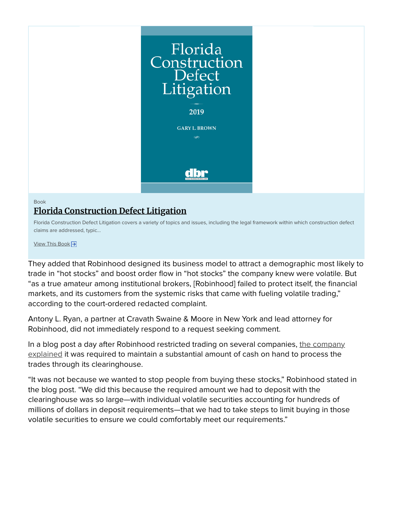

## Book **Florida Construction Defect Litigation**

Florida Construction Defect Litigation covers a variety of topics and issues, including the legal framework within which construction defect claims are addressed, typic...

View This Book →

They added that Robinhood designed its business model to attract a demographic most likely to trade in "hot stocks" and boost order flow in "hot stocks" the company knew were volatile. But "as a true amateur among institutional brokers, [Robinhood] failed to protect itself, the financial markets, and its customers from the systemic risks that came with fueling volatile trading," according to the court-ordered redacted complaint.

Antony L. Ryan, a partner at Cravath Swaine & Moore in New York and lead attorney for Robinhood, did not immediately respond to a request seeking comment.

In a blog post a day after Robinhood restricted trading on several companies, the company explained it was required to maintain a substantial amount of cash on hand to process the trades through its clearinghouse.

"It was not because we wanted to stop people from buying these stocks," Robinhood stated in the blog post. "We did this because the required amount we had to deposit with the clearinghouse was so large—with individual volatile securities accounting for hundreds of millions of dollars in deposit requirements—that we had to take steps to limit buying in those volatile securities to ensure we could comfortably meet our requirements."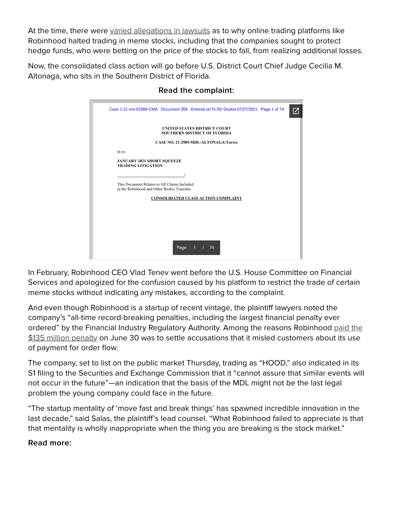At the time, there were varied allegations in lawsuits as to why online trading platforms like Robinhood halted trading in meme stocks, including that the companies sought to protect hedge funds, who were betting on the price of the stocks to fall, from realizing additional losses.

Now, the consolidated class action will go before U.S. District Court Chief Judge Cecilia M. Altonaga, who sits in the Southern District of Florida.

|                                                                            |                                                                                            |      | Case 1:21-md-02989-CMA Document 359 Entered on FLSD Docket 07/27/2021 Page 1 of 74 |  |  |  |
|----------------------------------------------------------------------------|--------------------------------------------------------------------------------------------|------|------------------------------------------------------------------------------------|--|--|--|
| <b>UNITED STATES DISTRICT COURT</b><br><b>SOUTHERN DISTRICT OF FLORIDA</b> |                                                                                            |      |                                                                                    |  |  |  |
| <b>CASE NO. 21-2989-MDL-ALTONAGA/Torres</b>                                |                                                                                            |      |                                                                                    |  |  |  |
|                                                                            | In re:                                                                                     |      |                                                                                    |  |  |  |
|                                                                            | <b>JANUARY 2021 SHORT SQUEEZE</b><br><b>TRADING LITIGATION</b>                             |      |                                                                                    |  |  |  |
|                                                                            |                                                                                            |      |                                                                                    |  |  |  |
|                                                                            | This Document Relates to All Claims Included<br>in the Robinhood and Other Broker Tranches |      |                                                                                    |  |  |  |
| <b>CONSOLIDATED CLASS ACTION COMPLAINT</b>                                 |                                                                                            |      |                                                                                    |  |  |  |
|                                                                            |                                                                                            |      |                                                                                    |  |  |  |
|                                                                            |                                                                                            |      |                                                                                    |  |  |  |
|                                                                            |                                                                                            |      |                                                                                    |  |  |  |
|                                                                            |                                                                                            |      |                                                                                    |  |  |  |
|                                                                            |                                                                                            | Page | 74<br>1<br>$\prime$                                                                |  |  |  |

# Read the complaint: Read the complaint:

In February, Robinhood CEO Vlad Tenev went before the U.S. House Committee on Financial Services and apologized for the confusion caused by his platform to restrict the trade of certain meme stocks without indicating any mistakes, according to the complaint.

And even though Robinhood is a startup of recent vintage, the plaintiff lawyers noted the company's "all-time record-breaking penalties, including the largest financial penalty ever ordered" by the Financial Industry Regulatory Authority. Among the reasons Robinhood paid the \$135 million penalty on June 30 was to settle accusations that it misled customers about its use of payment for order flow.

The company, set to list on the public market Thursday, trading as "HOOD," also indicated in its S1 filing to the Securities and Exchange Commission that it "cannot assure that similar events will not occur in the future"—an indication that the basis of the MDL might not be the last legal problem the young company could face in the future.

"The startup mentality of 'move fast and break things' has spawned incredible innovation in the last decade," said Salas, the plaintiff's lead counsel. "What Robinhood failed to appreciate is that that mentality is wholly inappropriate when the thing you are breaking is the stock market."

# Read more: